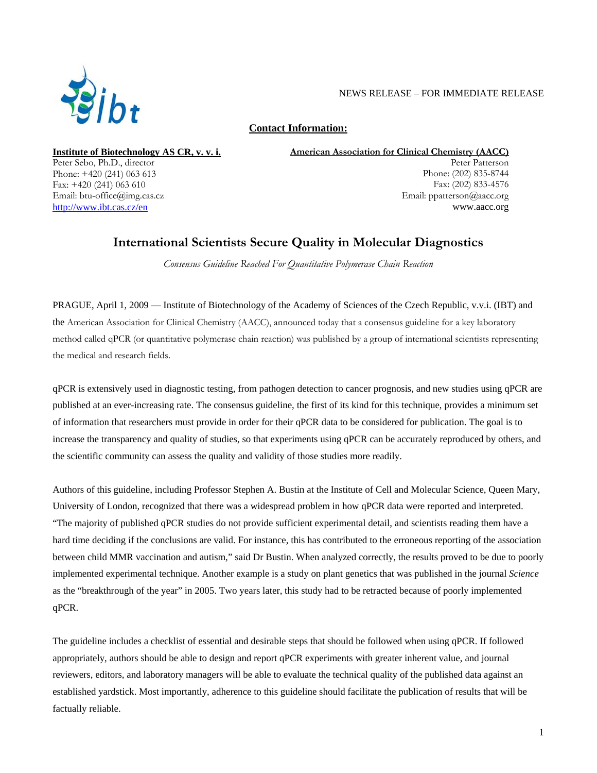

## NEWS RELEASE – FOR IMMEDIATE RELEASE

**Contact Information:**

**Institute of Biotechnology AS CR, v. v. i.** Peter Sebo, Ph.D., director Phone: +420 (241) 063 613 Fax: +420 (241) 063 610 Email: btu-office@img.cas.cz http://www.ibt.cas.cz/en

**American Association for Clinical Chemistry (AACC)**

Peter Patterson Phone: (202) 835-8744 Fax: (202) 833-4576 Email: ppatterson@aacc.org www.aacc.org

# **International Scientists Secure Quality in Molecular Diagnostics**

*Consensus Guideline Reached For Quantitative Polymerase Chain Reaction*

PRAGUE, April 1, 2009 — Institute of Biotechnology of the Academy of Sciences of the Czech Republic, v.v.i. (IBT) and the American Association for Clinical Chemistry (AACC), announced today that a consensus guideline for a key laboratory method called qPCR (or quantitative polymerase chain reaction) was published by a group of international scientists representing the medical and research fields.

qPCR is extensively used in diagnostic testing, from pathogen detection to cancer prognosis, and new studies using qPCR are published at an ever-increasing rate. The consensus guideline, the first of its kind for this technique, provides a minimum set of information that researchers must provide in order for their qPCR data to be considered for publication. The goal is to increase the transparency and quality of studies, so that experiments using qPCR can be accurately reproduced by others, and the scientific community can assess the quality and validity of those studies more readily.

Authors of this guideline, including Professor Stephen A. Bustin at the Institute of Cell and Molecular Science, Queen Mary, University of London, recognized that there was a widespread problem in how qPCR data were reported and interpreted. "The majority of published qPCR studies do not provide sufficient experimental detail, and scientists reading them have a hard time deciding if the conclusions are valid. For instance, this has contributed to the erroneous reporting of the association between child MMR vaccination and autism," said Dr Bustin. When analyzed correctly, the results proved to be due to poorly implemented experimental technique. Another example is a study on plant genetics that was published in the journal *Science* as the "breakthrough of the year" in 2005. Two years later, this study had to be retracted because of poorly implemented qPCR.

The guideline includes a checklist of essential and desirable steps that should be followed when using qPCR. If followed appropriately, authors should be able to design and report qPCR experiments with greater inherent value, and journal reviewers, editors, and laboratory managers will be able to evaluate the technical quality of the published data against an established yardstick. Most importantly, adherence to this guideline should facilitate the publication of results that will be factually reliable.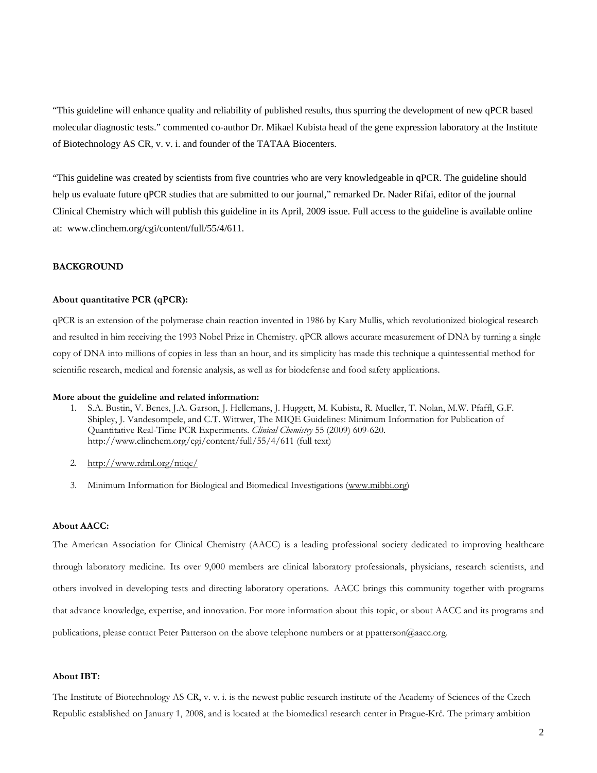"This guideline will enhance quality and reliability of published results, thus spurring the development of new qPCR based molecular diagnostic tests." commented co-author Dr. Mikael Kubista head of the gene expression laboratory at the Institute of Biotechnology AS CR, v. v. i. and founder of the TATAA Biocenters.

"This guideline was created by scientists from five countries who are very knowledgeable in qPCR. The guideline should help us evaluate future qPCR studies that are submitted to our journal," remarked Dr. Nader Rifai, editor of the journal Clinical Chemistry which will publish this guideline in its April, 2009 issue. Full access to the guideline is available online at: www.clinchem.org/cgi/content/full/55/4/611.

#### **BACKGROUND**

### **About quantitative PCR (qPCR):**

qPCR is an extension of the polymerase chain reaction invented in 1986 by Kary Mullis, which revolutionized biological research and resulted in him receiving the 1993 Nobel Prize in Chemistry. qPCR allows accurate measurement of DNA by turning a single copy of DNA into millions of copies in less than an hour, and its simplicity has made this technique a quintessential method for scientific research, medical and forensic analysis, as well as for biodefense and food safety applications.

#### **More about the guideline and related information:**

- 1. S.A. Bustin, V. Benes, J.A. Garson, J. Hellemans, J. Huggett, M. Kubista, R. Mueller, T. Nolan, M.W. Pfaffl, G.F. Shipley, J. Vandesompele, and C.T. Wittwer, The MIQE Guidelines: Minimum Information for Publication of Quantitative Real-Time PCR Experiments. *Clinical Chemistry* 55 (2009) 609-620. http://www.clinchem.org/cgi/content/full/55/4/611 (full text)
- 2. http://www.rdml.org/miqe/
- 3. Minimum Information for Biological and Biomedical Investigations (www.mibbi.org)

#### **About AACC:**

The American Association for Clinical Chemistry (AACC) is a leading professional society dedicated to improving healthcare through laboratory medicine. Its over 9,000 members are clinical laboratory professionals, physicians, research scientists, and others involved in developing tests and directing laboratory operations. AACC brings this community together with programs that advance knowledge, expertise, and innovation. For more information about this topic, or about AACC and its programs and publications, please contact Peter Patterson on the above telephone numbers or at ppatterson@aacc.org.

### **About IBT:**

The Institute of Biotechnology AS CR, v. v. i. is the newest public research institute of the Academy of Sciences of the Czech Republic established on January 1, 2008, and is located at the biomedical research center in Prague-Krč. The primary ambition